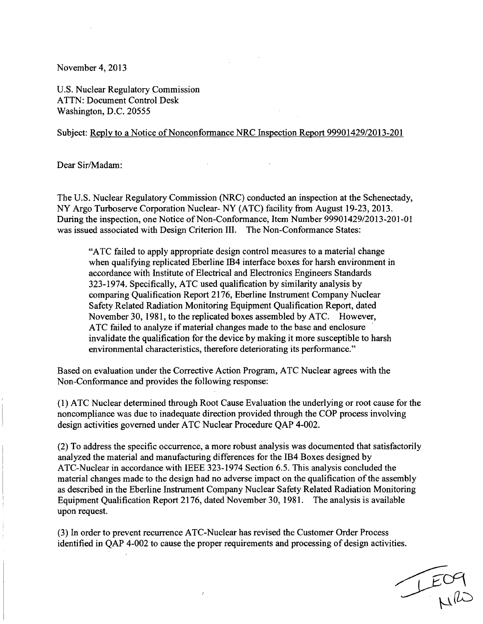November 4, 2013

U.S. Nuclear Regulatory Commission ATTN: Document Control Desk Washington, D.C. 20555

## Subject: Reply to a Notice of Nonconformance NRC Inspection Report 99901429/2013-201

Dear Sir/Madam:

The U.S. Nuclear Regulatory Commission (NRC) conducted an inspection at the Schenectady, NY Argo Turboserve Corporation Nuclear- NY (ATC) facility from August 19-23, 2013. During the inspection, one Notice of Non-Conformance, Item Number 99901429/2013-201-01 was issued associated with Design Criterion III. The Non-Conformance States:

"ATC failed to apply appropriate design control measures to a material change when qualifying replicated Eberline 1B4 interface boxes for harsh environment in accordance with Institute of Electrical and Electronics Engineers Standards 323-1974. Specifically, ATC used qualification by similarity analysis by comparing Qualification Report 2176, Eberline Instrument Company Nuclear Safety Related Radiation Monitoring Equipment Qualification Report, dated November 30, 1981, to the replicated boxes assembled by ATC. However, ATC failed to analyze if material changes made to the base and enclosure invalidate the qualification for the device by making it more susceptible to harsh environmental characteristics, therefore deteriorating its performance."

Based on evaluation under the Corrective Action Program, ATC Nuclear agrees with the Non-Conformance and provides the following response:

**(1)** ATC Nuclear determined through Root Cause Evaluation the underlying or root cause for the noncompliance was due to inadequate direction provided through the COP process involving design activities governed under ATC Nuclear Procedure QAP 4-002.

(2) To address the specific occurrence, a more robust analysis was documented that satisfactorily analyzed the material and manufacturing differences for the 1B4 Boxes designed by ATC-Nuclear in accordance with IEEE 323-1974 Section 6.5. This analysis concluded the material changes made to the design had no adverse impact on the qualification of the assembly as described in the Eberline Instrument Company Nuclear Safety Related Radiation Monitoring Equipment Qualification Report 2176, dated November 30, 1981. The analysis is available upon request.

(3) In order to prevent recurrence ATC-Nuclear has revised the Customer Order Process identified in QAP 4-002 to cause the proper requirements and processing of design activities.

 $\bar{I}$ 

I EO9